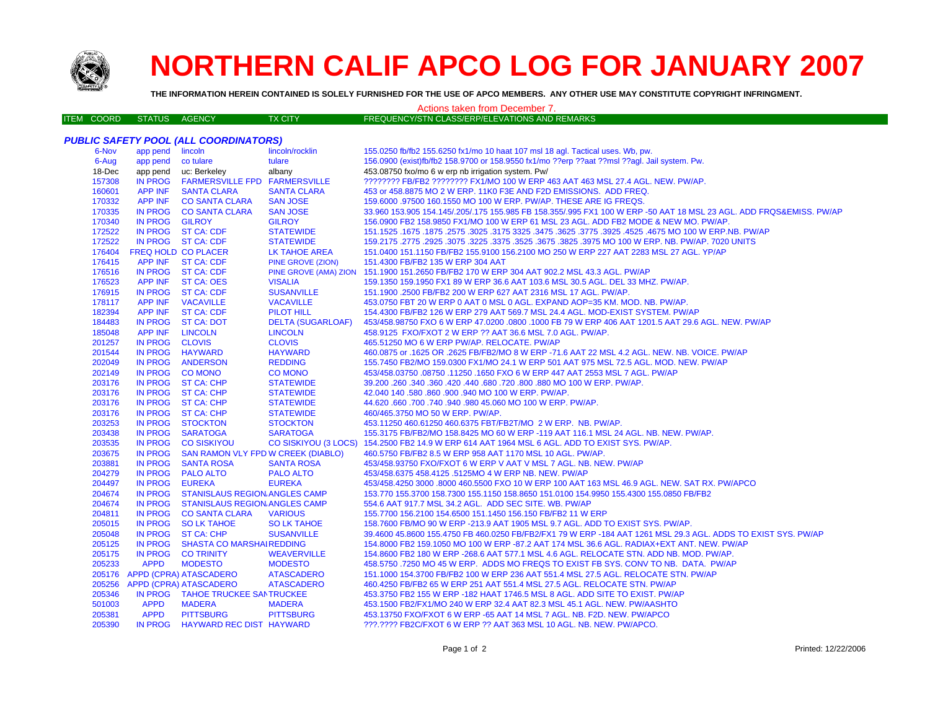

# **NORTHERN CALIF APCO LOG FOR JANUARY 2007**

**THE INFORMATION HEREIN CONTAINED IS SOLELY FURNISHED FOR THE USE OF APCO MEMBERS. ANY OTHER USE MAY CONSTITUTE COPYRIGHT INFRINGMENT.**

#### Actions taken from December 7.

|  | ITEM COORD STATUS AGENCY | TX CITY | FREQUENCY/STN CLASS/ERP/ELEVATIONS AND REMARKS |
|--|--------------------------|---------|------------------------------------------------|
|--|--------------------------|---------|------------------------------------------------|

| app pend lincoln<br>lincoln/rocklin<br>155.0250 fb/fb2 155.6250 fx1/mo 10 haat 107 msl 18 agl. Tactical uses. Wb, pw.<br>6-Nov<br>tulare<br>156.0900 (exist)fb/fb2 158.9700 or 158.9550 fx1/mo ??erp ??aat ??msl ??agl. Jail system. Pw.<br>6-Aug<br>app pend co tulare<br>app pend uc: Berkeley<br>453.08750 fxo/mo 6 w erp nb irrigation system. Pw/<br>18-Dec<br>albany<br>157308<br><b>IN PROG</b><br><b>FARMERSVILLE FPD FARMERSVILLE</b><br>???????? FB/FB2 ???????? FX1/MO 100 W ERP 463 AAT 463 MSL 27.4 AGL. NEW. PW/AP.<br><b>APP INF</b><br>160601<br><b>SANTA CLARA</b><br><b>SANTA CLARA</b><br>453 or 458.8875 MO 2 W ERP. 11K0 F3E AND F2D EMISSIONS. ADD FREQ.<br>170332<br>APP INF CO SANTA CLARA<br><b>SAN JOSE</b><br>159,6000 .97500 160.1550 MO 100 W ERP. PW/AP. THESE ARE IG FREQS.<br>170335<br>IN PROG CO SANTA CLARA<br><b>SAN JOSE</b><br>33.960 153.905 154.145/.205/.175 155.985 FB 158.355/.995 FX1 100 W ERP -50 AAT 18 MSL 23 AGL. ADD FRQS&EMISS. PW/AP<br>170340<br>IN PROG GILROY<br><b>GILROY</b><br>156.0900 FB2 158.9850 FX1/MO 100 W ERP 61 MSL 23 AGL. ADD FB2 MODE & NEW MO. PW/AP.<br>172522<br>IN PROG ST CA: CDF<br><b>STATEWIDE</b><br>151.1525 .1675 MO 100 W ERP.NB. PW/AP .2575 .3625 .3475 .3475 .3625 .3475 .3625 .3025 .1675 .1675 .2578 .1675<br>172522<br>IN PROG ST CA: CDF<br><b>STATEWIDE</b><br>159.2175 .2775 .2925 .3075 .3225 .3525 .3625 .3675 .3825 .3975 MO 100 W ERP. NB. PW/AP. 7020 UNITS<br>176404<br>FREQ HOLD CO PLACER<br>LK TAHOE AREA<br>151.0400 151.1150 FB/FB2 155.9100 156.2100 MO 250 W ERP 227 AAT 2283 MSL 27 AGL. YP/AP<br>APP INF ST CA: CDF<br>176415<br>151.4300 FB/FB2 135 W ERP 304 AAT<br><b>PINE GROVE (ZION)</b><br>176516<br>IN PROG ST CA: CDF<br>PINE GROVE (AMA) ZION 151.1900 151.2650 FB/FB2 170 W ERP 304 AAT 902.2 MSL 43.3 AGL. PW/AP<br><b>APP INF</b><br>176523<br>ST CA: OES<br><b>VISALIA</b><br>159.1350 159.1950 FX1 89 W ERP 36.6 AAT 103.6 MSL 30.5 AGL. DEL 33 MHZ. PW/AP.<br>176915<br><b>SUSANVILLE</b><br>IN PROG ST CA: CDF<br>151.1900.2500 FB/FB2 200 W ERP 627 AAT 2316 MSL 17 AGL. PW/AP.<br>178117<br>APP INF<br><b>VACAVILLE</b><br>453.0750 FBT 20 W ERP 0 AAT 0 MSL 0 AGL. EXPAND AOP=35 KM. MOD. NB. PW/AP.<br><b>VACAVILLE</b><br>182394<br><b>APP INF</b><br><b>ST CA: CDF</b><br><b>PILOT HILL</b><br>154.4300 FB/FB2 126 W ERP 279 AAT 569.7 MSL 24.4 AGL. MOD-EXIST SYSTEM. PW/AP<br>184483<br>IN PROG ST CA: DOT<br><b>DELTA (SUGARLOAF)</b><br>453/458.98750 FXO 6 W ERP 47.0200 .0800 .1000 FB 79 W ERP 406 AAT 1201.5 AAT 29.6 AGL. NEW. PW/AP<br>185048<br><b>APP INF</b><br><b>LINCOLN</b><br><b>LINCOLN</b><br>458.9125 FXO/FXOT 2 W ERP ?? AAT 36.6 MSL 7.0 AGL. PW/AP.<br>201257<br><b>CLOVIS</b><br>IN PROG CLOVIS<br>465.51250 MO 6 W ERP PW/AP. RELOCATE. PW/AP<br>201544<br>IN PROG HAYWARD<br><b>HAYWARD</b><br>460.0875 or .1625 OR .2625 FB/FB2/MO 8 W ERP -71.6 AAT 22 MSL 4.2 AGL. NEW. NB. VOICE. PW/AP<br>202049<br>IN PROG<br><b>ANDERSON</b><br><b>REDDING</b><br>155.7450 FB2/MO 159.0300 FX1/MO 24.1 W ERP 501 AAT 975 MSL 72.5 AGL. MOD. NEW. PW/AP<br>202149<br>IN PROG CO MONO<br><b>CO MONO</b><br>453/458.03750 .08750 .11250 .1650 FXO 6 W ERP 447 AAT 2553 MSL 7 AGL. PW/AP<br>203176<br>IN PROG ST CA: CHP<br><b>STATEWIDE</b><br>39.200 .260 .340 .360 .420 .440 .680 .720 .800 .880 MO 100 W ERP. PW/AP.<br>203176<br>IN PROG ST CA: CHP<br><b>STATEWIDE</b><br>42.040 140 .580 .860 .900 .940 MO 100 W ERP. PW/AP.<br>203176<br>IN PROG ST CA: CHP<br><b>STATEWIDE</b><br>44.620 .660 .700 .740 .940 .980 45.060 MO 100 W ERP. PW/AP.<br>203176<br>IN PROG ST CA: CHP<br>460/465.3750 MO 50 W ERP. PW/AP.<br><b>STATEWIDE</b><br>203253<br>IN PROG STOCKTON<br><b>STOCKTON</b><br>453.11250 460.61250 460.6375 FBT/FB2T/MO 2 W ERP. NB. PW/AP.<br>203438<br><b>IN PROG</b><br><b>SARATOGA</b><br><b>SARATOGA</b><br>155.3175 FB/FB2/MO 158.8425 MO 60 W ERP -119 AAT 116.1 MSL 24 AGL. NB. NEW. PW/AP.<br>203535<br><b>IN PROG</b><br>CO SISKIYOU (3 LOCS) 154.2500 FB2 14.9 W ERP 614 AAT 1964 MSL 6 AGL. ADD TO EXIST SYS. PW/AP.<br><b>CO SISKIYOU</b><br><b>IN PROG</b><br>203675<br>SAN RAMON VLY FPD W CREEK (DIABLO)<br>460.5750 FB/FB2 8.5 W ERP 958 AAT 1170 MSL 10 AGL. PW/AP.<br>203881<br><b>IN PROG</b><br><b>SANTA ROSA</b><br><b>SANTA ROSA</b><br>453/458.93750 FXO/FXOT 6 W ERP V AAT V MSL 7 AGL. NB. NEW. PW/AP<br>204279<br><b>IN PROG</b><br><b>PALO ALTO</b><br><b>PALO ALTO</b><br>453/458.6375 458.4125 .5125MO 4 W ERP NB. NEW. PW/AP<br>204497<br><b>IN PROG</b><br><b>EUREKA</b><br><b>EUREKA</b><br>453/458.4250 3000 .8000 460.5500 FXO 10 W ERP 100 AAT 163 MSL 46.9 AGL. NEW. SAT RX. PW/APCO<br>204674<br><b>IN PROG</b><br><b>STANISLAUS REGION ANGLES CAMP</b><br>153.770 155.3700 158.7300 155.1150 158.8650 151.0100 154.9950 155.4300 155.0850 FB/FB2<br>204674<br>IN PROG STANISLAUS REGION ANGLES CAMP<br>554.6 AAT 917.7 MSL 34.2 AGL. ADD SEC SITE. WB. PW/AP<br>204811<br>IN PROG CO SANTA CLARA<br><b>VARIOUS</b><br>155.7700 156.2100 154.6500 151.1450 156.150 FB/FB2 11 W ERP<br>205015<br>IN PROG SO LK TAHOE<br><b>SO LK TAHOE</b><br>158.7600 FB/MO 90 W ERP -213.9 AAT 1905 MSL 9.7 AGL. ADD TO EXIST SYS. PW/AP.<br>205048<br>IN PROG ST CA: CHP<br><b>SUSANVILLE</b><br>39.4600 45.8600 155.4750 FB 460.0250 FB/FB2/FX1 79 W ERP -184 AAT 1261 MSL 29.3 AGL. ADDS TO EXIST SYS. PW/AP<br>205125<br><b>SHASTA CO MARSHAIREDDING</b><br>IN PROG<br>154.8000 FB2 159.1050 MO 100 W ERP -87.2 AAT 174 MSL 36.6 AGL. RADIAX+EXT ANT. NEW. PW/AP<br>205175<br>IN PROG<br><b>CO TRINITY</b><br><b>WEAVERVILLE</b><br>154.8600 FB2 180 W ERP -268.6 AAT 577.1 MSL 4.6 AGL. RELOCATE STN. ADD NB. MOD. PW/AP.<br>205233<br><b>APPD</b><br><b>MODESTO</b><br><b>MODESTO</b><br>458.5750 .7250 MO 45 W ERP. ADDS MO FREQS TO EXIST FB SYS. CONV TO NB. DATA. PW/AP<br>205176 APPD (CPRA) ATASCADERO<br><b>ATASCADERO</b><br>151.1000 154.3700 FB/FB2 100 W ERP 236 AAT 551.4 MSL 27.5 AGL. RELOCATE STN. PW/AP<br>205256<br>APPD (CPRA) ATASCADERO<br><b>ATASCADERO</b><br>460.4250 FB/FB2 65 W ERP 251 AAT 551.4 MSL 27.5 AGL. RELOCATE STN. PW/AP<br>205346<br>IN PROG TAHOE TRUCKEE SANTRUCKEE<br>453.3750 FB2 155 W ERP -182 HAAT 1746.5 MSL 8 AGL. ADD SITE TO EXIST. PW/AP<br>501003<br><b>APPD</b><br><b>MADERA</b><br><b>MADERA</b><br>453.1500 FB2/FX1/MO 240 W ERP 32.4 AAT 82.3 MSL 45.1 AGL. NEW. PW/AASHTO | <b>PUBLIC SAFETY POOL (ALL COORDINATORS)</b> |             |                  |                  |                                                                        |  |  |
|---------------------------------------------------------------------------------------------------------------------------------------------------------------------------------------------------------------------------------------------------------------------------------------------------------------------------------------------------------------------------------------------------------------------------------------------------------------------------------------------------------------------------------------------------------------------------------------------------------------------------------------------------------------------------------------------------------------------------------------------------------------------------------------------------------------------------------------------------------------------------------------------------------------------------------------------------------------------------------------------------------------------------------------------------------------------------------------------------------------------------------------------------------------------------------------------------------------------------------------------------------------------------------------------------------------------------------------------------------------------------------------------------------------------------------------------------------------------------------------------------------------------------------------------------------------------------------------------------------------------------------------------------------------------------------------------------------------------------------------------------------------------------------------------------------------------------------------------------------------------------------------------------------------------------------------------------------------------------------------------------------------------------------------------------------------------------------------------------------------------------------------------------------------------------------------------------------------------------------------------------------------------------------------------------------------------------------------------------------------------------------------------------------------------------------------------------------------------------------------------------------------------------------------------------------------------------------------------------------------------------------------------------------------------------------------------------------------------------------------------------------------------------------------------------------------------------------------------------------------------------------------------------------------------------------------------------------------------------------------------------------------------------------------------------------------------------------------------------------------------------------------------------------------------------------------------------------------------------------------------------------------------------------------------------------------------------------------------------------------------------------------------------------------------------------------------------------------------------------------------------------------------------------------------------------------------------------------------------------------------------------------------------------------------------------------------------------------------------------------------------------------------------------------------------------------------------------------------------------------------------------------------------------------------------------------------------------------------------------------------------------------------------------------------------------------------------------------------------------------------------------------------------------------------------------------------------------------------------------------------------------------------------------------------------------------------------------------------------------------------------------------------------------------------------------------------------------------------------------------------------------------------------------------------------------------------------------------------------------------------------------------------------------------------------------------------------------------------------------------------------------------------------------------------------------------------------------------------------------------------------------------------------------------------------------------------------------------------------------------------------------------------------------------------------------------------------------------------------------------------------------------------------------------------------------------------------------------------------------------------------------------------------------------------------------------------------------------------------------------------------------------------------------------------------------------------------------------------------------------------------------------------------------------------------------------------------------------------------------------------------------------------------------------------------------------------------------------------------------------------------------------------------------------------------------------------------------------------------------------------------------------------------------------------------------------------------------------------------------------------------------------------------------------------------------------------------------------------------------------------------------------------------------------------------------------------------------------------------------------------------------------------------------------------------------------------------------------------------------------------------------------------------------------------------------|----------------------------------------------|-------------|------------------|------------------|------------------------------------------------------------------------|--|--|
|                                                                                                                                                                                                                                                                                                                                                                                                                                                                                                                                                                                                                                                                                                                                                                                                                                                                                                                                                                                                                                                                                                                                                                                                                                                                                                                                                                                                                                                                                                                                                                                                                                                                                                                                                                                                                                                                                                                                                                                                                                                                                                                                                                                                                                                                                                                                                                                                                                                                                                                                                                                                                                                                                                                                                                                                                                                                                                                                                                                                                                                                                                                                                                                                                                                                                                                                                                                                                                                                                                                                                                                                                                                                                                                                                                                                                                                                                                                                                                                                                                                                                                                                                                                                                                                                                                                                                                                                                                                                                                                                                                                                                                                                                                                                                                                                                                                                                                                                                                                                                                                                                                                                                                                                                                                                                                                                                                                                                                                                                                                                                                                                                                                                                                                                                                                                                                                                                                                                                                                                                                                                                                                                                                                                                                                                                                                                                                                                                                 |                                              |             |                  |                  |                                                                        |  |  |
|                                                                                                                                                                                                                                                                                                                                                                                                                                                                                                                                                                                                                                                                                                                                                                                                                                                                                                                                                                                                                                                                                                                                                                                                                                                                                                                                                                                                                                                                                                                                                                                                                                                                                                                                                                                                                                                                                                                                                                                                                                                                                                                                                                                                                                                                                                                                                                                                                                                                                                                                                                                                                                                                                                                                                                                                                                                                                                                                                                                                                                                                                                                                                                                                                                                                                                                                                                                                                                                                                                                                                                                                                                                                                                                                                                                                                                                                                                                                                                                                                                                                                                                                                                                                                                                                                                                                                                                                                                                                                                                                                                                                                                                                                                                                                                                                                                                                                                                                                                                                                                                                                                                                                                                                                                                                                                                                                                                                                                                                                                                                                                                                                                                                                                                                                                                                                                                                                                                                                                                                                                                                                                                                                                                                                                                                                                                                                                                                                                 |                                              |             |                  |                  |                                                                        |  |  |
|                                                                                                                                                                                                                                                                                                                                                                                                                                                                                                                                                                                                                                                                                                                                                                                                                                                                                                                                                                                                                                                                                                                                                                                                                                                                                                                                                                                                                                                                                                                                                                                                                                                                                                                                                                                                                                                                                                                                                                                                                                                                                                                                                                                                                                                                                                                                                                                                                                                                                                                                                                                                                                                                                                                                                                                                                                                                                                                                                                                                                                                                                                                                                                                                                                                                                                                                                                                                                                                                                                                                                                                                                                                                                                                                                                                                                                                                                                                                                                                                                                                                                                                                                                                                                                                                                                                                                                                                                                                                                                                                                                                                                                                                                                                                                                                                                                                                                                                                                                                                                                                                                                                                                                                                                                                                                                                                                                                                                                                                                                                                                                                                                                                                                                                                                                                                                                                                                                                                                                                                                                                                                                                                                                                                                                                                                                                                                                                                                                 |                                              |             |                  |                  |                                                                        |  |  |
|                                                                                                                                                                                                                                                                                                                                                                                                                                                                                                                                                                                                                                                                                                                                                                                                                                                                                                                                                                                                                                                                                                                                                                                                                                                                                                                                                                                                                                                                                                                                                                                                                                                                                                                                                                                                                                                                                                                                                                                                                                                                                                                                                                                                                                                                                                                                                                                                                                                                                                                                                                                                                                                                                                                                                                                                                                                                                                                                                                                                                                                                                                                                                                                                                                                                                                                                                                                                                                                                                                                                                                                                                                                                                                                                                                                                                                                                                                                                                                                                                                                                                                                                                                                                                                                                                                                                                                                                                                                                                                                                                                                                                                                                                                                                                                                                                                                                                                                                                                                                                                                                                                                                                                                                                                                                                                                                                                                                                                                                                                                                                                                                                                                                                                                                                                                                                                                                                                                                                                                                                                                                                                                                                                                                                                                                                                                                                                                                                                 |                                              |             |                  |                  |                                                                        |  |  |
|                                                                                                                                                                                                                                                                                                                                                                                                                                                                                                                                                                                                                                                                                                                                                                                                                                                                                                                                                                                                                                                                                                                                                                                                                                                                                                                                                                                                                                                                                                                                                                                                                                                                                                                                                                                                                                                                                                                                                                                                                                                                                                                                                                                                                                                                                                                                                                                                                                                                                                                                                                                                                                                                                                                                                                                                                                                                                                                                                                                                                                                                                                                                                                                                                                                                                                                                                                                                                                                                                                                                                                                                                                                                                                                                                                                                                                                                                                                                                                                                                                                                                                                                                                                                                                                                                                                                                                                                                                                                                                                                                                                                                                                                                                                                                                                                                                                                                                                                                                                                                                                                                                                                                                                                                                                                                                                                                                                                                                                                                                                                                                                                                                                                                                                                                                                                                                                                                                                                                                                                                                                                                                                                                                                                                                                                                                                                                                                                                                 |                                              |             |                  |                  |                                                                        |  |  |
|                                                                                                                                                                                                                                                                                                                                                                                                                                                                                                                                                                                                                                                                                                                                                                                                                                                                                                                                                                                                                                                                                                                                                                                                                                                                                                                                                                                                                                                                                                                                                                                                                                                                                                                                                                                                                                                                                                                                                                                                                                                                                                                                                                                                                                                                                                                                                                                                                                                                                                                                                                                                                                                                                                                                                                                                                                                                                                                                                                                                                                                                                                                                                                                                                                                                                                                                                                                                                                                                                                                                                                                                                                                                                                                                                                                                                                                                                                                                                                                                                                                                                                                                                                                                                                                                                                                                                                                                                                                                                                                                                                                                                                                                                                                                                                                                                                                                                                                                                                                                                                                                                                                                                                                                                                                                                                                                                                                                                                                                                                                                                                                                                                                                                                                                                                                                                                                                                                                                                                                                                                                                                                                                                                                                                                                                                                                                                                                                                                 |                                              |             |                  |                  |                                                                        |  |  |
|                                                                                                                                                                                                                                                                                                                                                                                                                                                                                                                                                                                                                                                                                                                                                                                                                                                                                                                                                                                                                                                                                                                                                                                                                                                                                                                                                                                                                                                                                                                                                                                                                                                                                                                                                                                                                                                                                                                                                                                                                                                                                                                                                                                                                                                                                                                                                                                                                                                                                                                                                                                                                                                                                                                                                                                                                                                                                                                                                                                                                                                                                                                                                                                                                                                                                                                                                                                                                                                                                                                                                                                                                                                                                                                                                                                                                                                                                                                                                                                                                                                                                                                                                                                                                                                                                                                                                                                                                                                                                                                                                                                                                                                                                                                                                                                                                                                                                                                                                                                                                                                                                                                                                                                                                                                                                                                                                                                                                                                                                                                                                                                                                                                                                                                                                                                                                                                                                                                                                                                                                                                                                                                                                                                                                                                                                                                                                                                                                                 |                                              |             |                  |                  |                                                                        |  |  |
|                                                                                                                                                                                                                                                                                                                                                                                                                                                                                                                                                                                                                                                                                                                                                                                                                                                                                                                                                                                                                                                                                                                                                                                                                                                                                                                                                                                                                                                                                                                                                                                                                                                                                                                                                                                                                                                                                                                                                                                                                                                                                                                                                                                                                                                                                                                                                                                                                                                                                                                                                                                                                                                                                                                                                                                                                                                                                                                                                                                                                                                                                                                                                                                                                                                                                                                                                                                                                                                                                                                                                                                                                                                                                                                                                                                                                                                                                                                                                                                                                                                                                                                                                                                                                                                                                                                                                                                                                                                                                                                                                                                                                                                                                                                                                                                                                                                                                                                                                                                                                                                                                                                                                                                                                                                                                                                                                                                                                                                                                                                                                                                                                                                                                                                                                                                                                                                                                                                                                                                                                                                                                                                                                                                                                                                                                                                                                                                                                                 |                                              |             |                  |                  |                                                                        |  |  |
|                                                                                                                                                                                                                                                                                                                                                                                                                                                                                                                                                                                                                                                                                                                                                                                                                                                                                                                                                                                                                                                                                                                                                                                                                                                                                                                                                                                                                                                                                                                                                                                                                                                                                                                                                                                                                                                                                                                                                                                                                                                                                                                                                                                                                                                                                                                                                                                                                                                                                                                                                                                                                                                                                                                                                                                                                                                                                                                                                                                                                                                                                                                                                                                                                                                                                                                                                                                                                                                                                                                                                                                                                                                                                                                                                                                                                                                                                                                                                                                                                                                                                                                                                                                                                                                                                                                                                                                                                                                                                                                                                                                                                                                                                                                                                                                                                                                                                                                                                                                                                                                                                                                                                                                                                                                                                                                                                                                                                                                                                                                                                                                                                                                                                                                                                                                                                                                                                                                                                                                                                                                                                                                                                                                                                                                                                                                                                                                                                                 |                                              |             |                  |                  |                                                                        |  |  |
|                                                                                                                                                                                                                                                                                                                                                                                                                                                                                                                                                                                                                                                                                                                                                                                                                                                                                                                                                                                                                                                                                                                                                                                                                                                                                                                                                                                                                                                                                                                                                                                                                                                                                                                                                                                                                                                                                                                                                                                                                                                                                                                                                                                                                                                                                                                                                                                                                                                                                                                                                                                                                                                                                                                                                                                                                                                                                                                                                                                                                                                                                                                                                                                                                                                                                                                                                                                                                                                                                                                                                                                                                                                                                                                                                                                                                                                                                                                                                                                                                                                                                                                                                                                                                                                                                                                                                                                                                                                                                                                                                                                                                                                                                                                                                                                                                                                                                                                                                                                                                                                                                                                                                                                                                                                                                                                                                                                                                                                                                                                                                                                                                                                                                                                                                                                                                                                                                                                                                                                                                                                                                                                                                                                                                                                                                                                                                                                                                                 |                                              |             |                  |                  |                                                                        |  |  |
|                                                                                                                                                                                                                                                                                                                                                                                                                                                                                                                                                                                                                                                                                                                                                                                                                                                                                                                                                                                                                                                                                                                                                                                                                                                                                                                                                                                                                                                                                                                                                                                                                                                                                                                                                                                                                                                                                                                                                                                                                                                                                                                                                                                                                                                                                                                                                                                                                                                                                                                                                                                                                                                                                                                                                                                                                                                                                                                                                                                                                                                                                                                                                                                                                                                                                                                                                                                                                                                                                                                                                                                                                                                                                                                                                                                                                                                                                                                                                                                                                                                                                                                                                                                                                                                                                                                                                                                                                                                                                                                                                                                                                                                                                                                                                                                                                                                                                                                                                                                                                                                                                                                                                                                                                                                                                                                                                                                                                                                                                                                                                                                                                                                                                                                                                                                                                                                                                                                                                                                                                                                                                                                                                                                                                                                                                                                                                                                                                                 |                                              |             |                  |                  |                                                                        |  |  |
|                                                                                                                                                                                                                                                                                                                                                                                                                                                                                                                                                                                                                                                                                                                                                                                                                                                                                                                                                                                                                                                                                                                                                                                                                                                                                                                                                                                                                                                                                                                                                                                                                                                                                                                                                                                                                                                                                                                                                                                                                                                                                                                                                                                                                                                                                                                                                                                                                                                                                                                                                                                                                                                                                                                                                                                                                                                                                                                                                                                                                                                                                                                                                                                                                                                                                                                                                                                                                                                                                                                                                                                                                                                                                                                                                                                                                                                                                                                                                                                                                                                                                                                                                                                                                                                                                                                                                                                                                                                                                                                                                                                                                                                                                                                                                                                                                                                                                                                                                                                                                                                                                                                                                                                                                                                                                                                                                                                                                                                                                                                                                                                                                                                                                                                                                                                                                                                                                                                                                                                                                                                                                                                                                                                                                                                                                                                                                                                                                                 |                                              |             |                  |                  |                                                                        |  |  |
|                                                                                                                                                                                                                                                                                                                                                                                                                                                                                                                                                                                                                                                                                                                                                                                                                                                                                                                                                                                                                                                                                                                                                                                                                                                                                                                                                                                                                                                                                                                                                                                                                                                                                                                                                                                                                                                                                                                                                                                                                                                                                                                                                                                                                                                                                                                                                                                                                                                                                                                                                                                                                                                                                                                                                                                                                                                                                                                                                                                                                                                                                                                                                                                                                                                                                                                                                                                                                                                                                                                                                                                                                                                                                                                                                                                                                                                                                                                                                                                                                                                                                                                                                                                                                                                                                                                                                                                                                                                                                                                                                                                                                                                                                                                                                                                                                                                                                                                                                                                                                                                                                                                                                                                                                                                                                                                                                                                                                                                                                                                                                                                                                                                                                                                                                                                                                                                                                                                                                                                                                                                                                                                                                                                                                                                                                                                                                                                                                                 |                                              |             |                  |                  |                                                                        |  |  |
|                                                                                                                                                                                                                                                                                                                                                                                                                                                                                                                                                                                                                                                                                                                                                                                                                                                                                                                                                                                                                                                                                                                                                                                                                                                                                                                                                                                                                                                                                                                                                                                                                                                                                                                                                                                                                                                                                                                                                                                                                                                                                                                                                                                                                                                                                                                                                                                                                                                                                                                                                                                                                                                                                                                                                                                                                                                                                                                                                                                                                                                                                                                                                                                                                                                                                                                                                                                                                                                                                                                                                                                                                                                                                                                                                                                                                                                                                                                                                                                                                                                                                                                                                                                                                                                                                                                                                                                                                                                                                                                                                                                                                                                                                                                                                                                                                                                                                                                                                                                                                                                                                                                                                                                                                                                                                                                                                                                                                                                                                                                                                                                                                                                                                                                                                                                                                                                                                                                                                                                                                                                                                                                                                                                                                                                                                                                                                                                                                                 |                                              |             |                  |                  |                                                                        |  |  |
|                                                                                                                                                                                                                                                                                                                                                                                                                                                                                                                                                                                                                                                                                                                                                                                                                                                                                                                                                                                                                                                                                                                                                                                                                                                                                                                                                                                                                                                                                                                                                                                                                                                                                                                                                                                                                                                                                                                                                                                                                                                                                                                                                                                                                                                                                                                                                                                                                                                                                                                                                                                                                                                                                                                                                                                                                                                                                                                                                                                                                                                                                                                                                                                                                                                                                                                                                                                                                                                                                                                                                                                                                                                                                                                                                                                                                                                                                                                                                                                                                                                                                                                                                                                                                                                                                                                                                                                                                                                                                                                                                                                                                                                                                                                                                                                                                                                                                                                                                                                                                                                                                                                                                                                                                                                                                                                                                                                                                                                                                                                                                                                                                                                                                                                                                                                                                                                                                                                                                                                                                                                                                                                                                                                                                                                                                                                                                                                                                                 |                                              |             |                  |                  |                                                                        |  |  |
|                                                                                                                                                                                                                                                                                                                                                                                                                                                                                                                                                                                                                                                                                                                                                                                                                                                                                                                                                                                                                                                                                                                                                                                                                                                                                                                                                                                                                                                                                                                                                                                                                                                                                                                                                                                                                                                                                                                                                                                                                                                                                                                                                                                                                                                                                                                                                                                                                                                                                                                                                                                                                                                                                                                                                                                                                                                                                                                                                                                                                                                                                                                                                                                                                                                                                                                                                                                                                                                                                                                                                                                                                                                                                                                                                                                                                                                                                                                                                                                                                                                                                                                                                                                                                                                                                                                                                                                                                                                                                                                                                                                                                                                                                                                                                                                                                                                                                                                                                                                                                                                                                                                                                                                                                                                                                                                                                                                                                                                                                                                                                                                                                                                                                                                                                                                                                                                                                                                                                                                                                                                                                                                                                                                                                                                                                                                                                                                                                                 |                                              |             |                  |                  |                                                                        |  |  |
|                                                                                                                                                                                                                                                                                                                                                                                                                                                                                                                                                                                                                                                                                                                                                                                                                                                                                                                                                                                                                                                                                                                                                                                                                                                                                                                                                                                                                                                                                                                                                                                                                                                                                                                                                                                                                                                                                                                                                                                                                                                                                                                                                                                                                                                                                                                                                                                                                                                                                                                                                                                                                                                                                                                                                                                                                                                                                                                                                                                                                                                                                                                                                                                                                                                                                                                                                                                                                                                                                                                                                                                                                                                                                                                                                                                                                                                                                                                                                                                                                                                                                                                                                                                                                                                                                                                                                                                                                                                                                                                                                                                                                                                                                                                                                                                                                                                                                                                                                                                                                                                                                                                                                                                                                                                                                                                                                                                                                                                                                                                                                                                                                                                                                                                                                                                                                                                                                                                                                                                                                                                                                                                                                                                                                                                                                                                                                                                                                                 |                                              |             |                  |                  |                                                                        |  |  |
|                                                                                                                                                                                                                                                                                                                                                                                                                                                                                                                                                                                                                                                                                                                                                                                                                                                                                                                                                                                                                                                                                                                                                                                                                                                                                                                                                                                                                                                                                                                                                                                                                                                                                                                                                                                                                                                                                                                                                                                                                                                                                                                                                                                                                                                                                                                                                                                                                                                                                                                                                                                                                                                                                                                                                                                                                                                                                                                                                                                                                                                                                                                                                                                                                                                                                                                                                                                                                                                                                                                                                                                                                                                                                                                                                                                                                                                                                                                                                                                                                                                                                                                                                                                                                                                                                                                                                                                                                                                                                                                                                                                                                                                                                                                                                                                                                                                                                                                                                                                                                                                                                                                                                                                                                                                                                                                                                                                                                                                                                                                                                                                                                                                                                                                                                                                                                                                                                                                                                                                                                                                                                                                                                                                                                                                                                                                                                                                                                                 |                                              |             |                  |                  |                                                                        |  |  |
|                                                                                                                                                                                                                                                                                                                                                                                                                                                                                                                                                                                                                                                                                                                                                                                                                                                                                                                                                                                                                                                                                                                                                                                                                                                                                                                                                                                                                                                                                                                                                                                                                                                                                                                                                                                                                                                                                                                                                                                                                                                                                                                                                                                                                                                                                                                                                                                                                                                                                                                                                                                                                                                                                                                                                                                                                                                                                                                                                                                                                                                                                                                                                                                                                                                                                                                                                                                                                                                                                                                                                                                                                                                                                                                                                                                                                                                                                                                                                                                                                                                                                                                                                                                                                                                                                                                                                                                                                                                                                                                                                                                                                                                                                                                                                                                                                                                                                                                                                                                                                                                                                                                                                                                                                                                                                                                                                                                                                                                                                                                                                                                                                                                                                                                                                                                                                                                                                                                                                                                                                                                                                                                                                                                                                                                                                                                                                                                                                                 |                                              |             |                  |                  |                                                                        |  |  |
|                                                                                                                                                                                                                                                                                                                                                                                                                                                                                                                                                                                                                                                                                                                                                                                                                                                                                                                                                                                                                                                                                                                                                                                                                                                                                                                                                                                                                                                                                                                                                                                                                                                                                                                                                                                                                                                                                                                                                                                                                                                                                                                                                                                                                                                                                                                                                                                                                                                                                                                                                                                                                                                                                                                                                                                                                                                                                                                                                                                                                                                                                                                                                                                                                                                                                                                                                                                                                                                                                                                                                                                                                                                                                                                                                                                                                                                                                                                                                                                                                                                                                                                                                                                                                                                                                                                                                                                                                                                                                                                                                                                                                                                                                                                                                                                                                                                                                                                                                                                                                                                                                                                                                                                                                                                                                                                                                                                                                                                                                                                                                                                                                                                                                                                                                                                                                                                                                                                                                                                                                                                                                                                                                                                                                                                                                                                                                                                                                                 |                                              |             |                  |                  |                                                                        |  |  |
|                                                                                                                                                                                                                                                                                                                                                                                                                                                                                                                                                                                                                                                                                                                                                                                                                                                                                                                                                                                                                                                                                                                                                                                                                                                                                                                                                                                                                                                                                                                                                                                                                                                                                                                                                                                                                                                                                                                                                                                                                                                                                                                                                                                                                                                                                                                                                                                                                                                                                                                                                                                                                                                                                                                                                                                                                                                                                                                                                                                                                                                                                                                                                                                                                                                                                                                                                                                                                                                                                                                                                                                                                                                                                                                                                                                                                                                                                                                                                                                                                                                                                                                                                                                                                                                                                                                                                                                                                                                                                                                                                                                                                                                                                                                                                                                                                                                                                                                                                                                                                                                                                                                                                                                                                                                                                                                                                                                                                                                                                                                                                                                                                                                                                                                                                                                                                                                                                                                                                                                                                                                                                                                                                                                                                                                                                                                                                                                                                                 |                                              |             |                  |                  |                                                                        |  |  |
|                                                                                                                                                                                                                                                                                                                                                                                                                                                                                                                                                                                                                                                                                                                                                                                                                                                                                                                                                                                                                                                                                                                                                                                                                                                                                                                                                                                                                                                                                                                                                                                                                                                                                                                                                                                                                                                                                                                                                                                                                                                                                                                                                                                                                                                                                                                                                                                                                                                                                                                                                                                                                                                                                                                                                                                                                                                                                                                                                                                                                                                                                                                                                                                                                                                                                                                                                                                                                                                                                                                                                                                                                                                                                                                                                                                                                                                                                                                                                                                                                                                                                                                                                                                                                                                                                                                                                                                                                                                                                                                                                                                                                                                                                                                                                                                                                                                                                                                                                                                                                                                                                                                                                                                                                                                                                                                                                                                                                                                                                                                                                                                                                                                                                                                                                                                                                                                                                                                                                                                                                                                                                                                                                                                                                                                                                                                                                                                                                                 |                                              |             |                  |                  |                                                                        |  |  |
|                                                                                                                                                                                                                                                                                                                                                                                                                                                                                                                                                                                                                                                                                                                                                                                                                                                                                                                                                                                                                                                                                                                                                                                                                                                                                                                                                                                                                                                                                                                                                                                                                                                                                                                                                                                                                                                                                                                                                                                                                                                                                                                                                                                                                                                                                                                                                                                                                                                                                                                                                                                                                                                                                                                                                                                                                                                                                                                                                                                                                                                                                                                                                                                                                                                                                                                                                                                                                                                                                                                                                                                                                                                                                                                                                                                                                                                                                                                                                                                                                                                                                                                                                                                                                                                                                                                                                                                                                                                                                                                                                                                                                                                                                                                                                                                                                                                                                                                                                                                                                                                                                                                                                                                                                                                                                                                                                                                                                                                                                                                                                                                                                                                                                                                                                                                                                                                                                                                                                                                                                                                                                                                                                                                                                                                                                                                                                                                                                                 |                                              |             |                  |                  |                                                                        |  |  |
|                                                                                                                                                                                                                                                                                                                                                                                                                                                                                                                                                                                                                                                                                                                                                                                                                                                                                                                                                                                                                                                                                                                                                                                                                                                                                                                                                                                                                                                                                                                                                                                                                                                                                                                                                                                                                                                                                                                                                                                                                                                                                                                                                                                                                                                                                                                                                                                                                                                                                                                                                                                                                                                                                                                                                                                                                                                                                                                                                                                                                                                                                                                                                                                                                                                                                                                                                                                                                                                                                                                                                                                                                                                                                                                                                                                                                                                                                                                                                                                                                                                                                                                                                                                                                                                                                                                                                                                                                                                                                                                                                                                                                                                                                                                                                                                                                                                                                                                                                                                                                                                                                                                                                                                                                                                                                                                                                                                                                                                                                                                                                                                                                                                                                                                                                                                                                                                                                                                                                                                                                                                                                                                                                                                                                                                                                                                                                                                                                                 |                                              |             |                  |                  |                                                                        |  |  |
|                                                                                                                                                                                                                                                                                                                                                                                                                                                                                                                                                                                                                                                                                                                                                                                                                                                                                                                                                                                                                                                                                                                                                                                                                                                                                                                                                                                                                                                                                                                                                                                                                                                                                                                                                                                                                                                                                                                                                                                                                                                                                                                                                                                                                                                                                                                                                                                                                                                                                                                                                                                                                                                                                                                                                                                                                                                                                                                                                                                                                                                                                                                                                                                                                                                                                                                                                                                                                                                                                                                                                                                                                                                                                                                                                                                                                                                                                                                                                                                                                                                                                                                                                                                                                                                                                                                                                                                                                                                                                                                                                                                                                                                                                                                                                                                                                                                                                                                                                                                                                                                                                                                                                                                                                                                                                                                                                                                                                                                                                                                                                                                                                                                                                                                                                                                                                                                                                                                                                                                                                                                                                                                                                                                                                                                                                                                                                                                                                                 |                                              |             |                  |                  |                                                                        |  |  |
|                                                                                                                                                                                                                                                                                                                                                                                                                                                                                                                                                                                                                                                                                                                                                                                                                                                                                                                                                                                                                                                                                                                                                                                                                                                                                                                                                                                                                                                                                                                                                                                                                                                                                                                                                                                                                                                                                                                                                                                                                                                                                                                                                                                                                                                                                                                                                                                                                                                                                                                                                                                                                                                                                                                                                                                                                                                                                                                                                                                                                                                                                                                                                                                                                                                                                                                                                                                                                                                                                                                                                                                                                                                                                                                                                                                                                                                                                                                                                                                                                                                                                                                                                                                                                                                                                                                                                                                                                                                                                                                                                                                                                                                                                                                                                                                                                                                                                                                                                                                                                                                                                                                                                                                                                                                                                                                                                                                                                                                                                                                                                                                                                                                                                                                                                                                                                                                                                                                                                                                                                                                                                                                                                                                                                                                                                                                                                                                                                                 |                                              |             |                  |                  |                                                                        |  |  |
|                                                                                                                                                                                                                                                                                                                                                                                                                                                                                                                                                                                                                                                                                                                                                                                                                                                                                                                                                                                                                                                                                                                                                                                                                                                                                                                                                                                                                                                                                                                                                                                                                                                                                                                                                                                                                                                                                                                                                                                                                                                                                                                                                                                                                                                                                                                                                                                                                                                                                                                                                                                                                                                                                                                                                                                                                                                                                                                                                                                                                                                                                                                                                                                                                                                                                                                                                                                                                                                                                                                                                                                                                                                                                                                                                                                                                                                                                                                                                                                                                                                                                                                                                                                                                                                                                                                                                                                                                                                                                                                                                                                                                                                                                                                                                                                                                                                                                                                                                                                                                                                                                                                                                                                                                                                                                                                                                                                                                                                                                                                                                                                                                                                                                                                                                                                                                                                                                                                                                                                                                                                                                                                                                                                                                                                                                                                                                                                                                                 |                                              |             |                  |                  |                                                                        |  |  |
|                                                                                                                                                                                                                                                                                                                                                                                                                                                                                                                                                                                                                                                                                                                                                                                                                                                                                                                                                                                                                                                                                                                                                                                                                                                                                                                                                                                                                                                                                                                                                                                                                                                                                                                                                                                                                                                                                                                                                                                                                                                                                                                                                                                                                                                                                                                                                                                                                                                                                                                                                                                                                                                                                                                                                                                                                                                                                                                                                                                                                                                                                                                                                                                                                                                                                                                                                                                                                                                                                                                                                                                                                                                                                                                                                                                                                                                                                                                                                                                                                                                                                                                                                                                                                                                                                                                                                                                                                                                                                                                                                                                                                                                                                                                                                                                                                                                                                                                                                                                                                                                                                                                                                                                                                                                                                                                                                                                                                                                                                                                                                                                                                                                                                                                                                                                                                                                                                                                                                                                                                                                                                                                                                                                                                                                                                                                                                                                                                                 |                                              |             |                  |                  |                                                                        |  |  |
|                                                                                                                                                                                                                                                                                                                                                                                                                                                                                                                                                                                                                                                                                                                                                                                                                                                                                                                                                                                                                                                                                                                                                                                                                                                                                                                                                                                                                                                                                                                                                                                                                                                                                                                                                                                                                                                                                                                                                                                                                                                                                                                                                                                                                                                                                                                                                                                                                                                                                                                                                                                                                                                                                                                                                                                                                                                                                                                                                                                                                                                                                                                                                                                                                                                                                                                                                                                                                                                                                                                                                                                                                                                                                                                                                                                                                                                                                                                                                                                                                                                                                                                                                                                                                                                                                                                                                                                                                                                                                                                                                                                                                                                                                                                                                                                                                                                                                                                                                                                                                                                                                                                                                                                                                                                                                                                                                                                                                                                                                                                                                                                                                                                                                                                                                                                                                                                                                                                                                                                                                                                                                                                                                                                                                                                                                                                                                                                                                                 |                                              |             |                  |                  |                                                                        |  |  |
|                                                                                                                                                                                                                                                                                                                                                                                                                                                                                                                                                                                                                                                                                                                                                                                                                                                                                                                                                                                                                                                                                                                                                                                                                                                                                                                                                                                                                                                                                                                                                                                                                                                                                                                                                                                                                                                                                                                                                                                                                                                                                                                                                                                                                                                                                                                                                                                                                                                                                                                                                                                                                                                                                                                                                                                                                                                                                                                                                                                                                                                                                                                                                                                                                                                                                                                                                                                                                                                                                                                                                                                                                                                                                                                                                                                                                                                                                                                                                                                                                                                                                                                                                                                                                                                                                                                                                                                                                                                                                                                                                                                                                                                                                                                                                                                                                                                                                                                                                                                                                                                                                                                                                                                                                                                                                                                                                                                                                                                                                                                                                                                                                                                                                                                                                                                                                                                                                                                                                                                                                                                                                                                                                                                                                                                                                                                                                                                                                                 |                                              |             |                  |                  |                                                                        |  |  |
|                                                                                                                                                                                                                                                                                                                                                                                                                                                                                                                                                                                                                                                                                                                                                                                                                                                                                                                                                                                                                                                                                                                                                                                                                                                                                                                                                                                                                                                                                                                                                                                                                                                                                                                                                                                                                                                                                                                                                                                                                                                                                                                                                                                                                                                                                                                                                                                                                                                                                                                                                                                                                                                                                                                                                                                                                                                                                                                                                                                                                                                                                                                                                                                                                                                                                                                                                                                                                                                                                                                                                                                                                                                                                                                                                                                                                                                                                                                                                                                                                                                                                                                                                                                                                                                                                                                                                                                                                                                                                                                                                                                                                                                                                                                                                                                                                                                                                                                                                                                                                                                                                                                                                                                                                                                                                                                                                                                                                                                                                                                                                                                                                                                                                                                                                                                                                                                                                                                                                                                                                                                                                                                                                                                                                                                                                                                                                                                                                                 |                                              |             |                  |                  |                                                                        |  |  |
|                                                                                                                                                                                                                                                                                                                                                                                                                                                                                                                                                                                                                                                                                                                                                                                                                                                                                                                                                                                                                                                                                                                                                                                                                                                                                                                                                                                                                                                                                                                                                                                                                                                                                                                                                                                                                                                                                                                                                                                                                                                                                                                                                                                                                                                                                                                                                                                                                                                                                                                                                                                                                                                                                                                                                                                                                                                                                                                                                                                                                                                                                                                                                                                                                                                                                                                                                                                                                                                                                                                                                                                                                                                                                                                                                                                                                                                                                                                                                                                                                                                                                                                                                                                                                                                                                                                                                                                                                                                                                                                                                                                                                                                                                                                                                                                                                                                                                                                                                                                                                                                                                                                                                                                                                                                                                                                                                                                                                                                                                                                                                                                                                                                                                                                                                                                                                                                                                                                                                                                                                                                                                                                                                                                                                                                                                                                                                                                                                                 |                                              |             |                  |                  |                                                                        |  |  |
|                                                                                                                                                                                                                                                                                                                                                                                                                                                                                                                                                                                                                                                                                                                                                                                                                                                                                                                                                                                                                                                                                                                                                                                                                                                                                                                                                                                                                                                                                                                                                                                                                                                                                                                                                                                                                                                                                                                                                                                                                                                                                                                                                                                                                                                                                                                                                                                                                                                                                                                                                                                                                                                                                                                                                                                                                                                                                                                                                                                                                                                                                                                                                                                                                                                                                                                                                                                                                                                                                                                                                                                                                                                                                                                                                                                                                                                                                                                                                                                                                                                                                                                                                                                                                                                                                                                                                                                                                                                                                                                                                                                                                                                                                                                                                                                                                                                                                                                                                                                                                                                                                                                                                                                                                                                                                                                                                                                                                                                                                                                                                                                                                                                                                                                                                                                                                                                                                                                                                                                                                                                                                                                                                                                                                                                                                                                                                                                                                                 |                                              |             |                  |                  |                                                                        |  |  |
|                                                                                                                                                                                                                                                                                                                                                                                                                                                                                                                                                                                                                                                                                                                                                                                                                                                                                                                                                                                                                                                                                                                                                                                                                                                                                                                                                                                                                                                                                                                                                                                                                                                                                                                                                                                                                                                                                                                                                                                                                                                                                                                                                                                                                                                                                                                                                                                                                                                                                                                                                                                                                                                                                                                                                                                                                                                                                                                                                                                                                                                                                                                                                                                                                                                                                                                                                                                                                                                                                                                                                                                                                                                                                                                                                                                                                                                                                                                                                                                                                                                                                                                                                                                                                                                                                                                                                                                                                                                                                                                                                                                                                                                                                                                                                                                                                                                                                                                                                                                                                                                                                                                                                                                                                                                                                                                                                                                                                                                                                                                                                                                                                                                                                                                                                                                                                                                                                                                                                                                                                                                                                                                                                                                                                                                                                                                                                                                                                                 |                                              |             |                  |                  |                                                                        |  |  |
|                                                                                                                                                                                                                                                                                                                                                                                                                                                                                                                                                                                                                                                                                                                                                                                                                                                                                                                                                                                                                                                                                                                                                                                                                                                                                                                                                                                                                                                                                                                                                                                                                                                                                                                                                                                                                                                                                                                                                                                                                                                                                                                                                                                                                                                                                                                                                                                                                                                                                                                                                                                                                                                                                                                                                                                                                                                                                                                                                                                                                                                                                                                                                                                                                                                                                                                                                                                                                                                                                                                                                                                                                                                                                                                                                                                                                                                                                                                                                                                                                                                                                                                                                                                                                                                                                                                                                                                                                                                                                                                                                                                                                                                                                                                                                                                                                                                                                                                                                                                                                                                                                                                                                                                                                                                                                                                                                                                                                                                                                                                                                                                                                                                                                                                                                                                                                                                                                                                                                                                                                                                                                                                                                                                                                                                                                                                                                                                                                                 |                                              |             |                  |                  |                                                                        |  |  |
|                                                                                                                                                                                                                                                                                                                                                                                                                                                                                                                                                                                                                                                                                                                                                                                                                                                                                                                                                                                                                                                                                                                                                                                                                                                                                                                                                                                                                                                                                                                                                                                                                                                                                                                                                                                                                                                                                                                                                                                                                                                                                                                                                                                                                                                                                                                                                                                                                                                                                                                                                                                                                                                                                                                                                                                                                                                                                                                                                                                                                                                                                                                                                                                                                                                                                                                                                                                                                                                                                                                                                                                                                                                                                                                                                                                                                                                                                                                                                                                                                                                                                                                                                                                                                                                                                                                                                                                                                                                                                                                                                                                                                                                                                                                                                                                                                                                                                                                                                                                                                                                                                                                                                                                                                                                                                                                                                                                                                                                                                                                                                                                                                                                                                                                                                                                                                                                                                                                                                                                                                                                                                                                                                                                                                                                                                                                                                                                                                                 |                                              |             |                  |                  |                                                                        |  |  |
|                                                                                                                                                                                                                                                                                                                                                                                                                                                                                                                                                                                                                                                                                                                                                                                                                                                                                                                                                                                                                                                                                                                                                                                                                                                                                                                                                                                                                                                                                                                                                                                                                                                                                                                                                                                                                                                                                                                                                                                                                                                                                                                                                                                                                                                                                                                                                                                                                                                                                                                                                                                                                                                                                                                                                                                                                                                                                                                                                                                                                                                                                                                                                                                                                                                                                                                                                                                                                                                                                                                                                                                                                                                                                                                                                                                                                                                                                                                                                                                                                                                                                                                                                                                                                                                                                                                                                                                                                                                                                                                                                                                                                                                                                                                                                                                                                                                                                                                                                                                                                                                                                                                                                                                                                                                                                                                                                                                                                                                                                                                                                                                                                                                                                                                                                                                                                                                                                                                                                                                                                                                                                                                                                                                                                                                                                                                                                                                                                                 |                                              |             |                  |                  |                                                                        |  |  |
|                                                                                                                                                                                                                                                                                                                                                                                                                                                                                                                                                                                                                                                                                                                                                                                                                                                                                                                                                                                                                                                                                                                                                                                                                                                                                                                                                                                                                                                                                                                                                                                                                                                                                                                                                                                                                                                                                                                                                                                                                                                                                                                                                                                                                                                                                                                                                                                                                                                                                                                                                                                                                                                                                                                                                                                                                                                                                                                                                                                                                                                                                                                                                                                                                                                                                                                                                                                                                                                                                                                                                                                                                                                                                                                                                                                                                                                                                                                                                                                                                                                                                                                                                                                                                                                                                                                                                                                                                                                                                                                                                                                                                                                                                                                                                                                                                                                                                                                                                                                                                                                                                                                                                                                                                                                                                                                                                                                                                                                                                                                                                                                                                                                                                                                                                                                                                                                                                                                                                                                                                                                                                                                                                                                                                                                                                                                                                                                                                                 |                                              |             |                  |                  |                                                                        |  |  |
|                                                                                                                                                                                                                                                                                                                                                                                                                                                                                                                                                                                                                                                                                                                                                                                                                                                                                                                                                                                                                                                                                                                                                                                                                                                                                                                                                                                                                                                                                                                                                                                                                                                                                                                                                                                                                                                                                                                                                                                                                                                                                                                                                                                                                                                                                                                                                                                                                                                                                                                                                                                                                                                                                                                                                                                                                                                                                                                                                                                                                                                                                                                                                                                                                                                                                                                                                                                                                                                                                                                                                                                                                                                                                                                                                                                                                                                                                                                                                                                                                                                                                                                                                                                                                                                                                                                                                                                                                                                                                                                                                                                                                                                                                                                                                                                                                                                                                                                                                                                                                                                                                                                                                                                                                                                                                                                                                                                                                                                                                                                                                                                                                                                                                                                                                                                                                                                                                                                                                                                                                                                                                                                                                                                                                                                                                                                                                                                                                                 |                                              |             |                  |                  |                                                                        |  |  |
|                                                                                                                                                                                                                                                                                                                                                                                                                                                                                                                                                                                                                                                                                                                                                                                                                                                                                                                                                                                                                                                                                                                                                                                                                                                                                                                                                                                                                                                                                                                                                                                                                                                                                                                                                                                                                                                                                                                                                                                                                                                                                                                                                                                                                                                                                                                                                                                                                                                                                                                                                                                                                                                                                                                                                                                                                                                                                                                                                                                                                                                                                                                                                                                                                                                                                                                                                                                                                                                                                                                                                                                                                                                                                                                                                                                                                                                                                                                                                                                                                                                                                                                                                                                                                                                                                                                                                                                                                                                                                                                                                                                                                                                                                                                                                                                                                                                                                                                                                                                                                                                                                                                                                                                                                                                                                                                                                                                                                                                                                                                                                                                                                                                                                                                                                                                                                                                                                                                                                                                                                                                                                                                                                                                                                                                                                                                                                                                                                                 |                                              |             |                  |                  |                                                                        |  |  |
|                                                                                                                                                                                                                                                                                                                                                                                                                                                                                                                                                                                                                                                                                                                                                                                                                                                                                                                                                                                                                                                                                                                                                                                                                                                                                                                                                                                                                                                                                                                                                                                                                                                                                                                                                                                                                                                                                                                                                                                                                                                                                                                                                                                                                                                                                                                                                                                                                                                                                                                                                                                                                                                                                                                                                                                                                                                                                                                                                                                                                                                                                                                                                                                                                                                                                                                                                                                                                                                                                                                                                                                                                                                                                                                                                                                                                                                                                                                                                                                                                                                                                                                                                                                                                                                                                                                                                                                                                                                                                                                                                                                                                                                                                                                                                                                                                                                                                                                                                                                                                                                                                                                                                                                                                                                                                                                                                                                                                                                                                                                                                                                                                                                                                                                                                                                                                                                                                                                                                                                                                                                                                                                                                                                                                                                                                                                                                                                                                                 |                                              |             |                  |                  |                                                                        |  |  |
|                                                                                                                                                                                                                                                                                                                                                                                                                                                                                                                                                                                                                                                                                                                                                                                                                                                                                                                                                                                                                                                                                                                                                                                                                                                                                                                                                                                                                                                                                                                                                                                                                                                                                                                                                                                                                                                                                                                                                                                                                                                                                                                                                                                                                                                                                                                                                                                                                                                                                                                                                                                                                                                                                                                                                                                                                                                                                                                                                                                                                                                                                                                                                                                                                                                                                                                                                                                                                                                                                                                                                                                                                                                                                                                                                                                                                                                                                                                                                                                                                                                                                                                                                                                                                                                                                                                                                                                                                                                                                                                                                                                                                                                                                                                                                                                                                                                                                                                                                                                                                                                                                                                                                                                                                                                                                                                                                                                                                                                                                                                                                                                                                                                                                                                                                                                                                                                                                                                                                                                                                                                                                                                                                                                                                                                                                                                                                                                                                                 |                                              |             |                  |                  |                                                                        |  |  |
|                                                                                                                                                                                                                                                                                                                                                                                                                                                                                                                                                                                                                                                                                                                                                                                                                                                                                                                                                                                                                                                                                                                                                                                                                                                                                                                                                                                                                                                                                                                                                                                                                                                                                                                                                                                                                                                                                                                                                                                                                                                                                                                                                                                                                                                                                                                                                                                                                                                                                                                                                                                                                                                                                                                                                                                                                                                                                                                                                                                                                                                                                                                                                                                                                                                                                                                                                                                                                                                                                                                                                                                                                                                                                                                                                                                                                                                                                                                                                                                                                                                                                                                                                                                                                                                                                                                                                                                                                                                                                                                                                                                                                                                                                                                                                                                                                                                                                                                                                                                                                                                                                                                                                                                                                                                                                                                                                                                                                                                                                                                                                                                                                                                                                                                                                                                                                                                                                                                                                                                                                                                                                                                                                                                                                                                                                                                                                                                                                                 |                                              |             |                  |                  |                                                                        |  |  |
|                                                                                                                                                                                                                                                                                                                                                                                                                                                                                                                                                                                                                                                                                                                                                                                                                                                                                                                                                                                                                                                                                                                                                                                                                                                                                                                                                                                                                                                                                                                                                                                                                                                                                                                                                                                                                                                                                                                                                                                                                                                                                                                                                                                                                                                                                                                                                                                                                                                                                                                                                                                                                                                                                                                                                                                                                                                                                                                                                                                                                                                                                                                                                                                                                                                                                                                                                                                                                                                                                                                                                                                                                                                                                                                                                                                                                                                                                                                                                                                                                                                                                                                                                                                                                                                                                                                                                                                                                                                                                                                                                                                                                                                                                                                                                                                                                                                                                                                                                                                                                                                                                                                                                                                                                                                                                                                                                                                                                                                                                                                                                                                                                                                                                                                                                                                                                                                                                                                                                                                                                                                                                                                                                                                                                                                                                                                                                                                                                                 |                                              |             |                  |                  |                                                                        |  |  |
|                                                                                                                                                                                                                                                                                                                                                                                                                                                                                                                                                                                                                                                                                                                                                                                                                                                                                                                                                                                                                                                                                                                                                                                                                                                                                                                                                                                                                                                                                                                                                                                                                                                                                                                                                                                                                                                                                                                                                                                                                                                                                                                                                                                                                                                                                                                                                                                                                                                                                                                                                                                                                                                                                                                                                                                                                                                                                                                                                                                                                                                                                                                                                                                                                                                                                                                                                                                                                                                                                                                                                                                                                                                                                                                                                                                                                                                                                                                                                                                                                                                                                                                                                                                                                                                                                                                                                                                                                                                                                                                                                                                                                                                                                                                                                                                                                                                                                                                                                                                                                                                                                                                                                                                                                                                                                                                                                                                                                                                                                                                                                                                                                                                                                                                                                                                                                                                                                                                                                                                                                                                                                                                                                                                                                                                                                                                                                                                                                                 |                                              |             |                  |                  |                                                                        |  |  |
|                                                                                                                                                                                                                                                                                                                                                                                                                                                                                                                                                                                                                                                                                                                                                                                                                                                                                                                                                                                                                                                                                                                                                                                                                                                                                                                                                                                                                                                                                                                                                                                                                                                                                                                                                                                                                                                                                                                                                                                                                                                                                                                                                                                                                                                                                                                                                                                                                                                                                                                                                                                                                                                                                                                                                                                                                                                                                                                                                                                                                                                                                                                                                                                                                                                                                                                                                                                                                                                                                                                                                                                                                                                                                                                                                                                                                                                                                                                                                                                                                                                                                                                                                                                                                                                                                                                                                                                                                                                                                                                                                                                                                                                                                                                                                                                                                                                                                                                                                                                                                                                                                                                                                                                                                                                                                                                                                                                                                                                                                                                                                                                                                                                                                                                                                                                                                                                                                                                                                                                                                                                                                                                                                                                                                                                                                                                                                                                                                                 | 205381                                       | <b>APPD</b> | <b>PITTSBURG</b> | <b>PITTSBURG</b> | 453.13750 FXO/FXOT 6 W ERP -65 AAT 14 MSL 7 AGL. NB. F2D. NEW. PW/APCO |  |  |
| 205390<br>IN PROG HAYWARD REC DIST HAYWARD<br>???.???? FB2C/FXOT 6 W ERP ?? AAT 363 MSL 10 AGL. NB. NEW. PW/APCO.                                                                                                                                                                                                                                                                                                                                                                                                                                                                                                                                                                                                                                                                                                                                                                                                                                                                                                                                                                                                                                                                                                                                                                                                                                                                                                                                                                                                                                                                                                                                                                                                                                                                                                                                                                                                                                                                                                                                                                                                                                                                                                                                                                                                                                                                                                                                                                                                                                                                                                                                                                                                                                                                                                                                                                                                                                                                                                                                                                                                                                                                                                                                                                                                                                                                                                                                                                                                                                                                                                                                                                                                                                                                                                                                                                                                                                                                                                                                                                                                                                                                                                                                                                                                                                                                                                                                                                                                                                                                                                                                                                                                                                                                                                                                                                                                                                                                                                                                                                                                                                                                                                                                                                                                                                                                                                                                                                                                                                                                                                                                                                                                                                                                                                                                                                                                                                                                                                                                                                                                                                                                                                                                                                                                                                                                                                               |                                              |             |                  |                  |                                                                        |  |  |